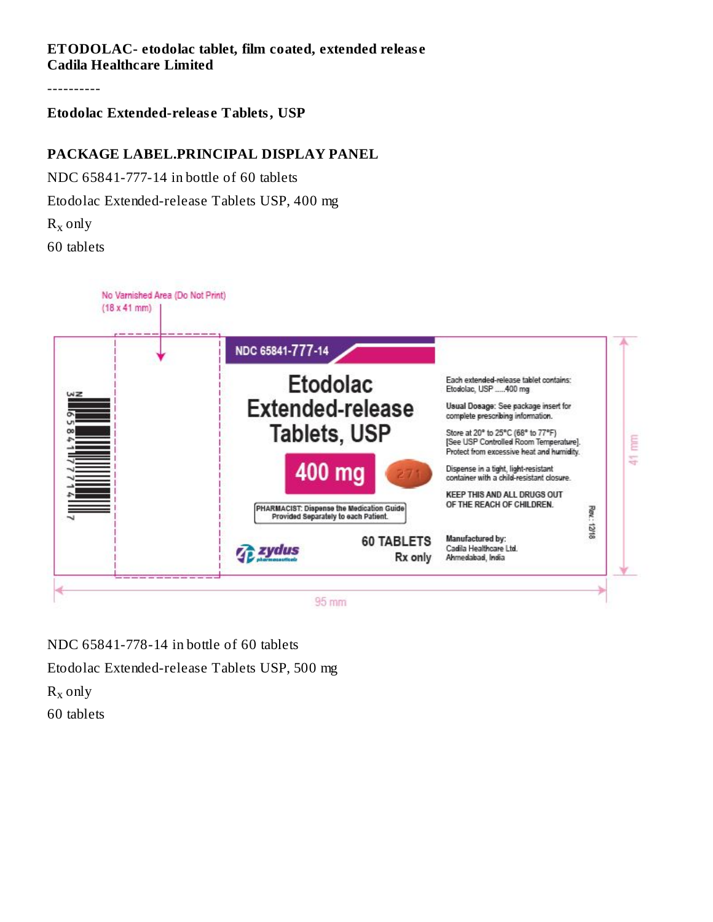### **ETODOLAC- etodolac tablet, film coated, extended releas e Cadila Healthcare Limited**

----------

#### **Etodolac Extended-releas e Tablets, USP**

### **PACKAGE LABEL.PRINCIPAL DISPLAY PANEL**

NDC 65841-777-14 in bottle of 60 tablets

Etodolac Extended-release Tablets USP, 400 mg

 $R_x$  only

60 tablets



NDC 65841-778-14 in bottle of 60 tablets Etodolac Extended-release Tablets USP, 500 mg  $R_x$  only 60 tablets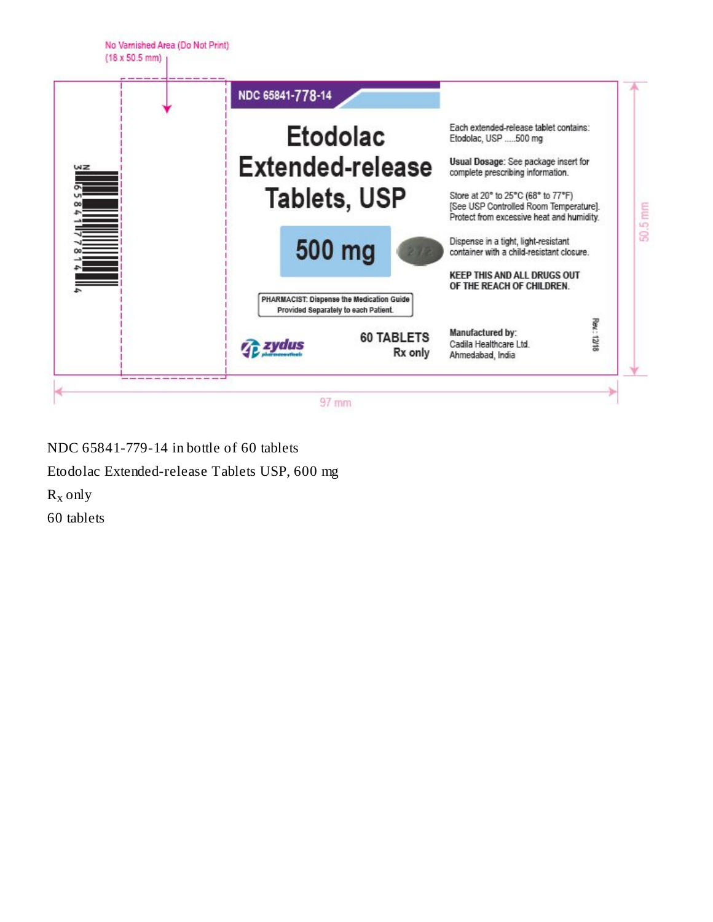

NDC 65841-779-14 in bottle of 60 tablets Etodolac Extended-release Tablets USP, 600 mg  $R_x$  only 60 tablets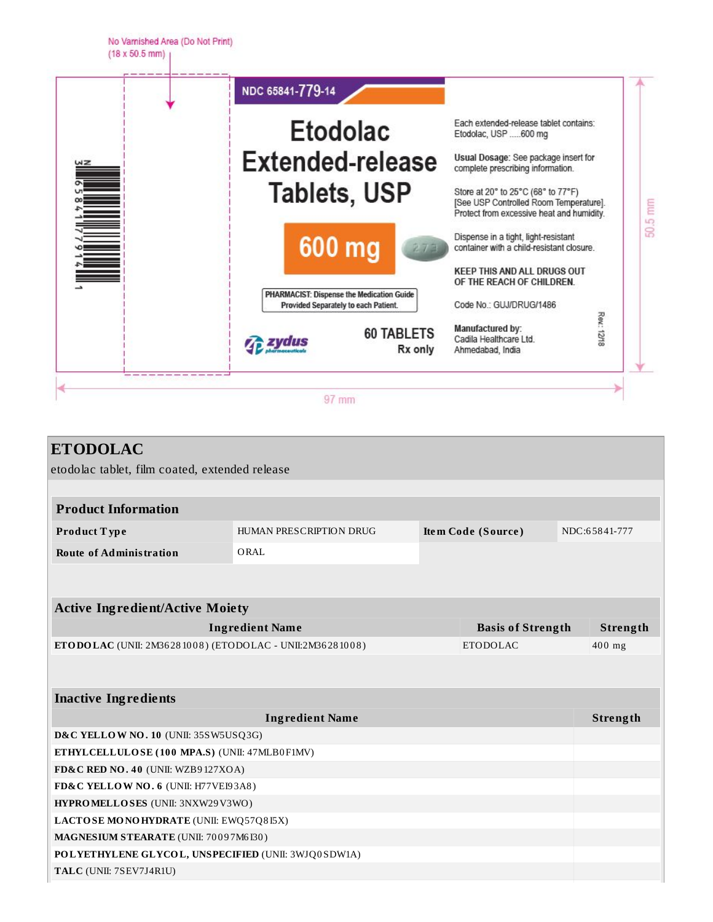

| <b>ETODOLAC</b>                                          |                                       |  |                          |  |               |
|----------------------------------------------------------|---------------------------------------|--|--------------------------|--|---------------|
| etodolac tablet, film coated, extended release           |                                       |  |                          |  |               |
|                                                          |                                       |  |                          |  |               |
| <b>Product Information</b>                               |                                       |  |                          |  |               |
| Product Type                                             | HUMAN PRESCRIPTION DRUG               |  | Item Code (Source)       |  | NDC:65841-777 |
| <b>Route of Administration</b>                           | ORAL                                  |  |                          |  |               |
|                                                          |                                       |  |                          |  |               |
|                                                          |                                       |  |                          |  |               |
| <b>Active Ingredient/Active Moiety</b>                   |                                       |  |                          |  |               |
|                                                          | <b>Ingredient Name</b>                |  | <b>Basis of Strength</b> |  | Strength      |
| ETODOLAC (UNII: 2M36281008) (ETODOLAC - UNII:2M36281008) |                                       |  | <b>ETODOLAC</b>          |  | 400 mg        |
|                                                          |                                       |  |                          |  |               |
|                                                          |                                       |  |                          |  |               |
| <b>Inactive Ingredients</b>                              |                                       |  |                          |  |               |
|                                                          | <b>Ingredient Name</b>                |  |                          |  | Strength      |
| D&C YELLOW NO. 10 (UNII: 35SW5USQ3G)                     |                                       |  |                          |  |               |
| ETHYLCELLULOSE (100 MPA.S) (UNII: 47MLB0F1MV)            |                                       |  |                          |  |               |
| FD&C RED NO. 40 (UNII: WZB9127XOA)                       |                                       |  |                          |  |               |
| FD&C YELLOW NO. 6 (UNII: H77VEI93A8)                     |                                       |  |                          |  |               |
| HYPROMELLOSES (UNII: 3NXW29V3WO)                         |                                       |  |                          |  |               |
| LACTOSE MONOHYDRATE (UNII: EWQ57Q8I5X)                   |                                       |  |                          |  |               |
|                                                          | MAGNESIUM STEARATE (UNII: 70097M6I30) |  |                          |  |               |
| POLYETHYLENE GLYCOL, UNSPECIFIED (UNII: 3WJQ0SDW1A)      |                                       |  |                          |  |               |
| TALC (UNII: 7SEV7J4R1U)                                  |                                       |  |                          |  |               |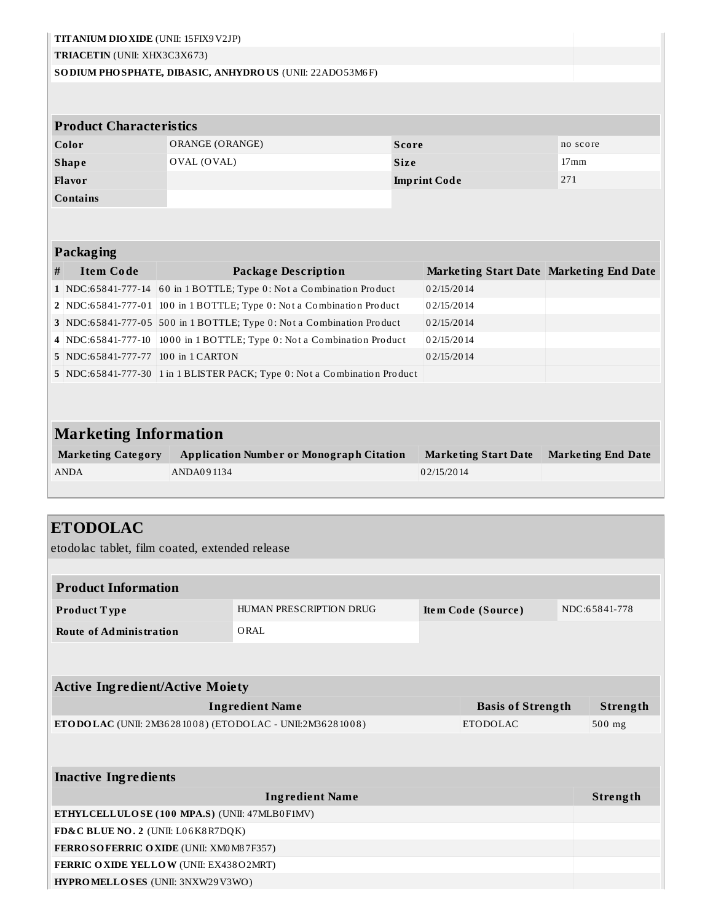| TITANIUM DIO XIDE (UNII: 15FIX9V2JP)                                               |                 |                                                                           |              |                     |                                         |                  |                           |
|------------------------------------------------------------------------------------|-----------------|---------------------------------------------------------------------------|--------------|---------------------|-----------------------------------------|------------------|---------------------------|
| TRIACETIN (UNII: XHX3C3X673)                                                       |                 |                                                                           |              |                     |                                         |                  |                           |
| SO DIUM PHO SPHATE, DIBASIC, ANHYDRO US (UNII: 22ADO 53M6F)                        |                 |                                                                           |              |                     |                                         |                  |                           |
|                                                                                    |                 |                                                                           |              |                     |                                         |                  |                           |
|                                                                                    |                 |                                                                           |              |                     |                                         |                  |                           |
| <b>Product Characteristics</b>                                                     |                 |                                                                           |              |                     |                                         |                  |                           |
| Color                                                                              | ORANGE (ORANGE) |                                                                           | <b>Score</b> |                     |                                         | no score         |                           |
| <b>Shape</b>                                                                       | OVAL (OVAL)     |                                                                           | <b>Size</b>  |                     |                                         | 17 <sub>mm</sub> |                           |
| Flavor                                                                             |                 |                                                                           |              | <b>Imprint Code</b> |                                         | 271              |                           |
| <b>Contains</b>                                                                    |                 |                                                                           |              |                     |                                         |                  |                           |
|                                                                                    |                 |                                                                           |              |                     |                                         |                  |                           |
| Packaging                                                                          |                 |                                                                           |              |                     |                                         |                  |                           |
| <b>Item Code</b><br>#                                                              |                 | <b>Package Description</b>                                                |              |                     | Marketing Start Date Marketing End Date |                  |                           |
|                                                                                    |                 | 1 NDC:65841-777-14 60 in 1 BOTTLE; Type 0: Not a Combination Product      |              | 02/15/2014          |                                         |                  |                           |
|                                                                                    |                 | 2 NDC:65841-777-01 100 in 1 BOTTLE; Type 0: Not a Combination Product     |              | 02/15/2014          |                                         |                  |                           |
|                                                                                    |                 | 3 NDC:65841-777-05 500 in 1 BOTTLE; Type 0: Not a Combination Product     |              | 02/15/2014          |                                         |                  |                           |
|                                                                                    |                 | 4 NDC:65841-777-10 1000 in 1 BOTTLE; Type 0: Not a Combination Product    |              | 02/15/2014          |                                         |                  |                           |
| 5 NDC:65841-777-77 100 in 1 CARTON                                                 |                 |                                                                           |              | 02/15/2014          |                                         |                  |                           |
|                                                                                    |                 | 5 NDC:65841-777-30 1 in 1 BLISTER PACK; Type 0: Not a Combination Product |              |                     |                                         |                  |                           |
| <b>Marketing Information</b>                                                       |                 |                                                                           |              |                     |                                         |                  |                           |
| <b>Marketing Category</b><br><b>ANDA</b>                                           | ANDA091134      | <b>Application Number or Monograph Citation</b>                           |              | 02/15/2014          | <b>Marketing Start Date</b>             |                  | <b>Marketing End Date</b> |
| <b>ETODOLAC</b><br>etodolac tablet, film coated, extended release                  |                 |                                                                           |              |                     |                                         |                  |                           |
| <b>Product Information</b>                                                         |                 |                                                                           |              |                     |                                         |                  |                           |
| Product Type                                                                       |                 | HUMAN PRESCRIPTION DRUG                                                   |              |                     | Item Code (Source)                      |                  | NDC:65841-778             |
| <b>Route of Administration</b>                                                     |                 | ORAL                                                                      |              |                     |                                         |                  |                           |
|                                                                                    |                 |                                                                           |              |                     |                                         |                  |                           |
| <b>Active Ingredient/Active Moiety</b>                                             |                 |                                                                           |              |                     |                                         |                  |                           |
|                                                                                    |                 | <b>Ingredient Name</b>                                                    |              |                     | <b>Basis of Strength</b>                |                  | Strength                  |
|                                                                                    |                 | ETODOLAC (UNII: 2M36281008) (ETODOLAC - UNII:2M36281008)                  |              |                     | <b>ETODOLAC</b>                         |                  | 500 mg                    |
|                                                                                    |                 |                                                                           |              |                     |                                         |                  |                           |
| <b>Inactive Ingredients</b>                                                        |                 |                                                                           |              |                     |                                         |                  |                           |
|                                                                                    |                 |                                                                           |              |                     |                                         |                  |                           |
|                                                                                    |                 | <b>Ingredient Name</b>                                                    |              |                     |                                         |                  | Strength                  |
| ETHYLCELLULOSE (100 MPA.S) (UNII: 47MLB0F1MV)                                      |                 |                                                                           |              |                     |                                         |                  |                           |
| FD&C BLUE NO. 2 (UNII: L06K8R7DQK)                                                 |                 |                                                                           |              |                     |                                         |                  |                           |
| FERROSOFERRIC OXIDE (UNII: XM0 M8 7F357)<br>FERRIC OXIDE YELLOW (UNII: EX438O2MRT) |                 |                                                                           |              |                     |                                         |                  |                           |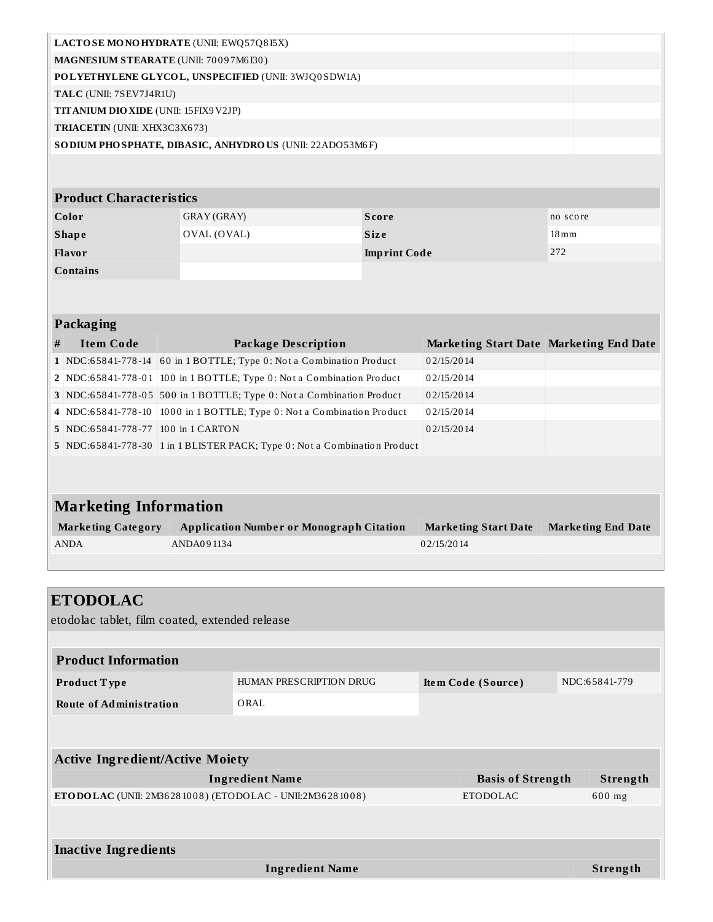| <b>LACTOSE MONOHYDRATE (UNII: EWQ57Q8I5X)</b>                  |  |
|----------------------------------------------------------------|--|
| <b>MAGNESIUM STEARATE (UNII: 70097M6I30)</b>                   |  |
| POLYETHYLENE GLYCOL, UNSPECIFIED (UNII: 3WJQ0SDW1A)            |  |
| TALC (UNII: 7SEV7J4R1U)                                        |  |
| <b>TITANIUM DIO XIDE</b> (UNII: 15FIX9 V2JP)                   |  |
| <b>TRIACETIN</b> (UNII: XHX3C3X673)                            |  |
| <b>SODIUM PHOSPHATE, DIBASIC, ANHYDROUS (UNII: 22ADO53M6F)</b> |  |
|                                                                |  |

### **Product Characteristics**

| Color           | GRAY (GRAY) | Score               | no score           |
|-----------------|-------------|---------------------|--------------------|
| <b>Shape</b>    | OVAL (OVAL) | <b>Size</b>         | $18 \,\mathrm{mm}$ |
| <b>Flavor</b>   |             | <b>Imprint Code</b> | 272                |
| <b>Contains</b> |             |                     |                    |

### **Packaging**

| # | <b>Item Code</b>                   | <b>Package Description</b>                                                | Marketing Start Date Marketing End Date |  |
|---|------------------------------------|---------------------------------------------------------------------------|-----------------------------------------|--|
|   |                                    | 1 NDC:65841-778-14 60 in 1 BOTTLE; Type 0: Not a Combination Product      | 02/15/2014                              |  |
|   |                                    | 2 NDC:65841-778-01 100 in 1 BOTTLE; Type 0: Not a Combination Product     | 02/15/2014                              |  |
|   |                                    | 3 NDC:65841-778-05 500 in 1 BOTTLE; Type 0: Not a Combination Product     | 02/15/2014                              |  |
|   |                                    | 4 NDC:65841-778-10 1000 in 1 BOTTLE; Type 0: Not a Combination Product    | 02/15/2014                              |  |
|   | 5 NDC:65841-778-77 100 in 1 CARTON |                                                                           | 02/15/2014                              |  |
|   |                                    | 5 NDC:65841-778-30 1 in 1 BLISTER PACK; Type 0: Not a Combination Product |                                         |  |
|   |                                    |                                                                           |                                         |  |

# **Marketing Information**

| <b>Marketing Category</b> | Application Number or Monograph Citation | <b>Marketing Start Date</b> | <b>Marketing End Date</b> |
|---------------------------|------------------------------------------|-----------------------------|---------------------------|
| ANDA                      | ANDA091134                               | 02/15/2014                  |                           |
|                           |                                          |                             |                           |

| <b>ETODOLAC</b><br>etodolac tablet, film coated, extended release |                         |                    |                          |               |
|-------------------------------------------------------------------|-------------------------|--------------------|--------------------------|---------------|
| <b>Product Information</b>                                        |                         |                    |                          |               |
| Product Type                                                      | HUMAN PRESCRIPTION DRUG | Item Code (Source) |                          | NDC:65841-779 |
| <b>Route of Administration</b>                                    | ORAL                    |                    |                          |               |
| <b>Active Ingredient/Active Moiety</b>                            |                         |                    |                          |               |
|                                                                   | <b>Ingredient Name</b>  |                    | <b>Basis of Strength</b> | Strength      |
| <b>ETODOLAC</b> (UNII: 2M36281008) (ETODOLAC - UNII:2M36281008)   |                         | <b>ETODOLAC</b>    |                          | 600 mg        |
|                                                                   |                         |                    |                          |               |
| <b>Inactive Ingredients</b>                                       |                         |                    |                          |               |
|                                                                   | <b>Ingredient Name</b>  |                    |                          | Strength      |